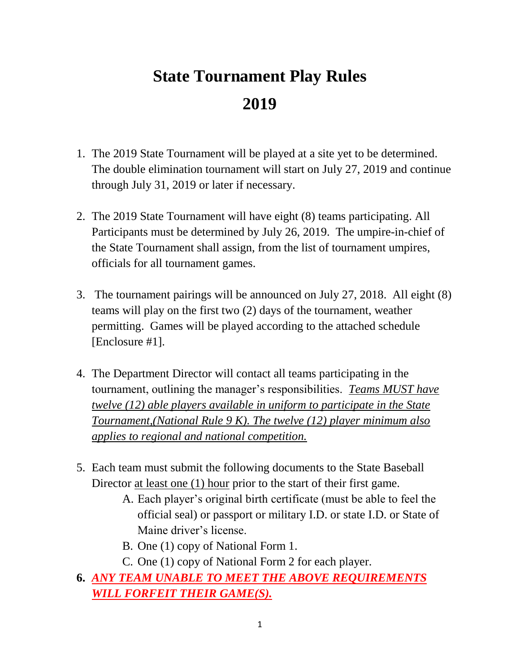# **State Tournament Play Rules 2019**

- 1. The 2019 State Tournament will be played at a site yet to be determined. The double elimination tournament will start on July 27, 2019 and continue through July 31, 2019 or later if necessary.
- 2. The 2019 State Tournament will have eight (8) teams participating. All Participants must be determined by July 26, 2019. The umpire-in-chief of the State Tournament shall assign, from the list of tournament umpires, officials for all tournament games.
- 3. The tournament pairings will be announced on July 27, 2018. All eight (8) teams will play on the first two (2) days of the tournament, weather permitting. Games will be played according to the attached schedule [Enclosure #1].
- 4. The Department Director will contact all teams participating in the tournament, outlining the manager's responsibilities. *Teams MUST have twelve (12) able players available in uniform to participate in the State Tournament,(National Rule 9 K). The twelve (12) player minimum also applies to regional and national competition.*
- 5. Each team must submit the following documents to the State Baseball Director at least one (1) hour prior to the start of their first game.
	- A. Each player's original birth certificate (must be able to feel the official seal) or passport or military I.D. or state I.D. or State of Maine driver's license.
	- B. One (1) copy of National Form 1.
	- C. One (1) copy of National Form 2 for each player.
- **6.** *ANY TEAM UNABLE TO MEET THE ABOVE REQUIREMENTS WILL FORFEIT THEIR GAME(S).*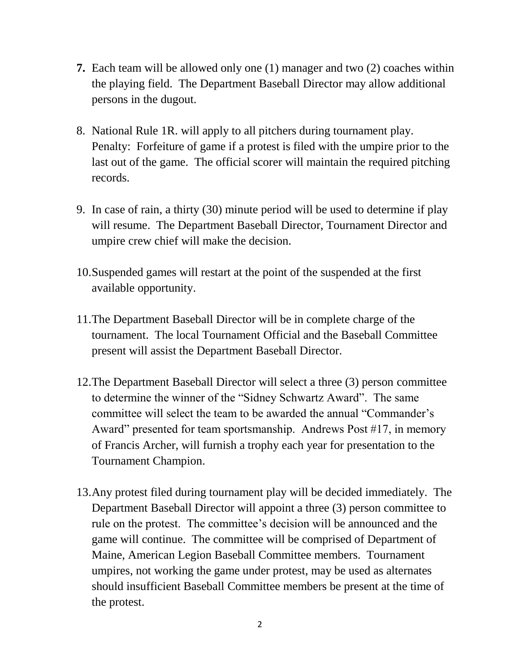- **7.** Each team will be allowed only one (1) manager and two (2) coaches within the playing field. The Department Baseball Director may allow additional persons in the dugout.
- 8. National Rule 1R. will apply to all pitchers during tournament play. Penalty: Forfeiture of game if a protest is filed with the umpire prior to the last out of the game. The official scorer will maintain the required pitching records.
- 9. In case of rain, a thirty (30) minute period will be used to determine if play will resume. The Department Baseball Director, Tournament Director and umpire crew chief will make the decision.
- 10.Suspended games will restart at the point of the suspended at the first available opportunity.
- 11.The Department Baseball Director will be in complete charge of the tournament. The local Tournament Official and the Baseball Committee present will assist the Department Baseball Director.
- 12.The Department Baseball Director will select a three (3) person committee to determine the winner of the "Sidney Schwartz Award". The same committee will select the team to be awarded the annual "Commander's Award" presented for team sportsmanship. Andrews Post #17, in memory of Francis Archer, will furnish a trophy each year for presentation to the Tournament Champion.
- 13.Any protest filed during tournament play will be decided immediately. The Department Baseball Director will appoint a three (3) person committee to rule on the protest. The committee's decision will be announced and the game will continue. The committee will be comprised of Department of Maine, American Legion Baseball Committee members. Tournament umpires, not working the game under protest, may be used as alternates should insufficient Baseball Committee members be present at the time of the protest.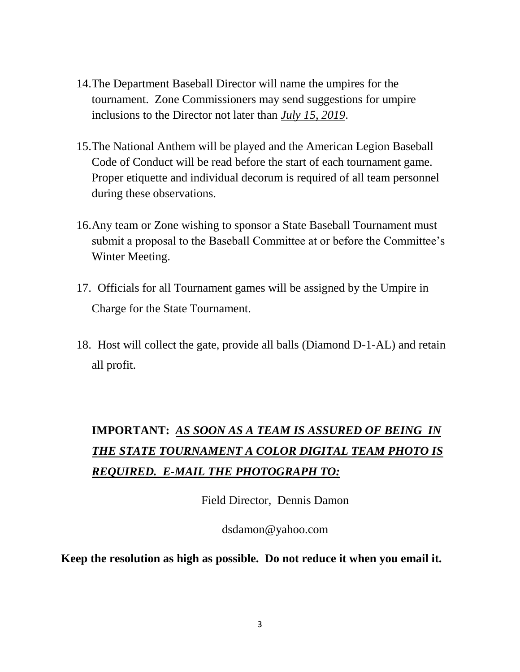- 14.The Department Baseball Director will name the umpires for the tournament. Zone Commissioners may send suggestions for umpire inclusions to the Director not later than *July 15, 2019*.
- 15.The National Anthem will be played and the American Legion Baseball Code of Conduct will be read before the start of each tournament game. Proper etiquette and individual decorum is required of all team personnel during these observations.
- 16.Any team or Zone wishing to sponsor a State Baseball Tournament must submit a proposal to the Baseball Committee at or before the Committee's Winter Meeting.
- 17. Officials for all Tournament games will be assigned by the Umpire in Charge for the State Tournament.
- 18. Host will collect the gate, provide all balls (Diamond D-1-AL) and retain all profit.

# **IMPORTANT:** *AS SOON AS A TEAM IS ASSURED OF BEING IN THE STATE TOURNAMENT A COLOR DIGITAL TEAM PHOTO IS REQUIRED. E-MAIL THE PHOTOGRAPH TO:*

Field Director, Dennis Damon

dsdamon@yahoo.com

**Keep the resolution as high as possible. Do not reduce it when you email it.**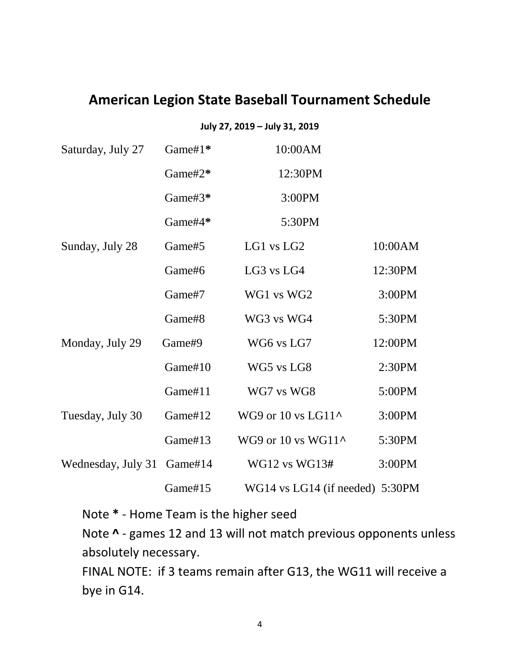#### **American Legion State Baseball Tournament Schedule**

#### **July 27, 2019 – July 31, 2019**

| Saturday, July 27  | Game#1* | 10:00AM                         |         |
|--------------------|---------|---------------------------------|---------|
|                    | Game#2* | 12:30PM                         |         |
|                    | Game#3* | 3:00PM                          |         |
|                    | Game#4* | 5:30PM                          |         |
| Sunday, July 28    | Game#5  | LG1 vs LG2                      | 10:00AM |
|                    | Game#6  | LG3 vs LG4                      | 12:30PM |
|                    | Game#7  | WG1 vs WG2                      | 3:00PM  |
|                    | Game#8  | WG3 vs WG4                      | 5:30PM  |
| Monday, July 29    | Game#9  | WG6 vs LG7                      | 12:00PM |
|                    | Game#10 | WG5 vs LG8                      | 2:30PM  |
|                    | Game#11 | WG7 vs WG8                      | 5:00PM  |
| Tuesday, July 30   | Game#12 | WG9 or 10 vs LG11^              | 3:00PM  |
|                    | Game#13 | WG9 or 10 vs WG11 $\sim$        | 5:30PM  |
| Wednesday, July 31 | Game#14 | WG12 vs WG13#                   | 3:00PM  |
|                    | Game#15 | WG14 vs LG14 (if needed) 5:30PM |         |

Note **\*** - Home Team is the higher seed

Note **^** - games 12 and 13 will not match previous opponents unless absolutely necessary.

FINAL NOTE: if 3 teams remain after G13, the WG11 will receive a bye in G14.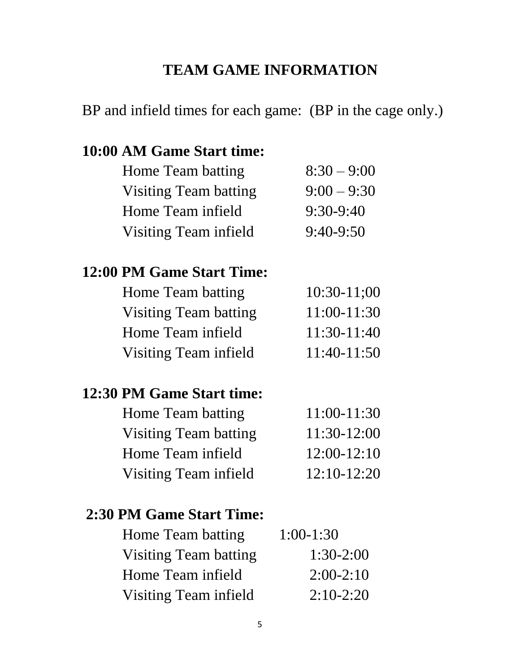# **TEAM GAME INFORMATION**

# BP and infield times for each game: (BP in the cage only.)

#### **10:00 AM Game Start time:**

| Home Team batting            | $8:30 - 9:00$ |
|------------------------------|---------------|
| <b>Visiting Team batting</b> | $9:00 - 9:30$ |
| Home Team infield            | $9:30-9:40$   |
| <b>Visiting Team infield</b> | $9:40-9:50$   |
|                              |               |

### **12:00 PM Game Start Time:**

| Home Team batting            | $10:30-11:00$ |
|------------------------------|---------------|
| Visiting Team batting        | $11:00-11:30$ |
| Home Team infield            | $11:30-11:40$ |
| <b>Visiting Team infield</b> | $11:40-11:50$ |

### **12:30 PM Game Start time:**

| $11:00-11:30$ |
|---------------|
| $11:30-12:00$ |
| $12:00-12:10$ |
| $12:10-12:20$ |
|               |

#### **2:30 PM Game Start Time:**

| Home Team batting            | $1:00-1:30$ |
|------------------------------|-------------|
| <b>Visiting Team batting</b> | $1:30-2:00$ |
| Home Team infield            | $2:00-2:10$ |
| Visiting Team infield        | $2:10-2:20$ |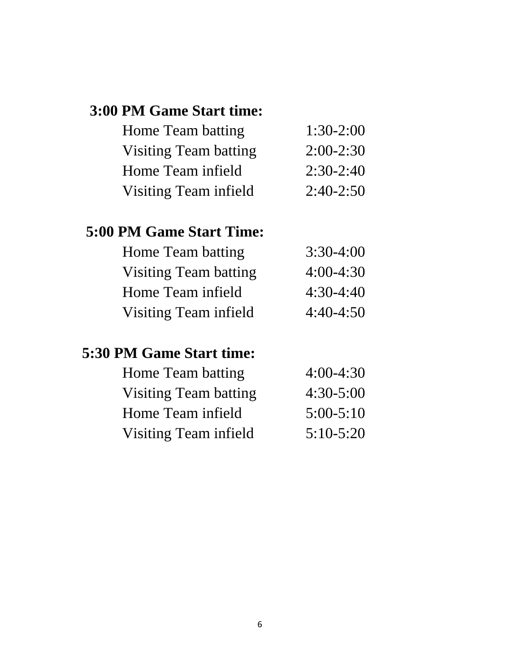## **3:00 PM Game Start time:**

| Home Team batting            | $1:30-2:00$ |
|------------------------------|-------------|
| <b>Visiting Team batting</b> | $2:00-2:30$ |
| Home Team infield            | $2:30-2:40$ |
| Visiting Team infield        | $2:40-2:50$ |

# **5:00 PM Game Start Time:**

| $3:30-4:00$ |
|-------------|
| $4:00-4:30$ |
| $4:30-4:40$ |
| $4:40-4:50$ |
|             |

# **5:30 PM Game Start time:**

| Home Team batting     | $4:00-4:30$ |
|-----------------------|-------------|
| Visiting Team batting | $4:30-5:00$ |
| Home Team infield     | $5:00-5:10$ |
| Visiting Team infield | $5:10-5:20$ |